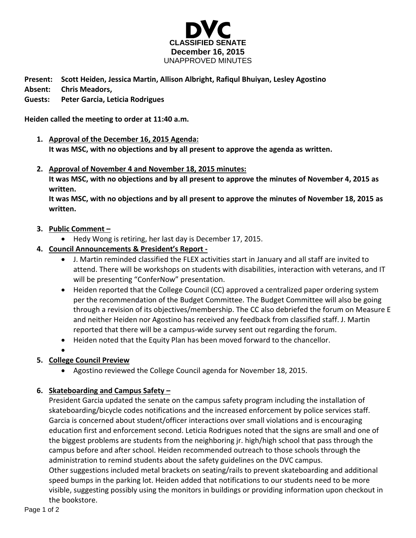

**Present: Scott Heiden, Jessica Martin, Allison Albright, Rafiqul Bhuiyan, Lesley Agostino Absent: Chris Meadors,** 

## **Guests: Peter Garcia, Leticia Rodrigues**

**Heiden called the meeting to order at 11:40 a.m.**

- **1. Approval of the December 16, 2015 Agenda: It was MSC, with no objections and by all present to approve the agenda as written.**
- **2. Approval of November 4 and November 18, 2015 minutes:**

**It was MSC, with no objections and by all present to approve the minutes of November 4, 2015 as written.** 

**It was MSC, with no objections and by all present to approve the minutes of November 18, 2015 as written.** 

### **3. Public Comment –**

- Hedy Wong is retiring, her last day is December 17, 2015.
- **4. Council Announcements & President's Report -**
	- J. Martin reminded classified the FLEX activities start in January and all staff are invited to attend. There will be workshops on students with disabilities, interaction with veterans, and IT will be presenting "ConferNow" presentation.
	- Heiden reported that the College Council (CC) approved a centralized paper ordering system per the recommendation of the Budget Committee. The Budget Committee will also be going through a revision of its objectives/membership. The CC also debriefed the forum on Measure E and neither Heiden nor Agostino has received any feedback from classified staff. J. Martin reported that there will be a campus-wide survey sent out regarding the forum.
	- Heiden noted that the Equity Plan has been moved forward to the chancellor.
	- $\bullet$

# **5. College Council Preview**

Agostino reviewed the College Council agenda for November 18, 2015.

### **6. Skateboarding and Campus Safety –**

President Garcia updated the senate on the campus safety program including the installation of skateboarding/bicycle codes notifications and the increased enforcement by police services staff. Garcia is concerned about student/officer interactions over small violations and is encouraging education first and enforcement second. Leticia Rodrigues noted that the signs are small and one of the biggest problems are students from the neighboring jr. high/high school that pass through the campus before and after school. Heiden recommended outreach to those schools through the administration to remind students about the safety guidelines on the DVC campus. Other suggestions included metal brackets on seating/rails to prevent skateboarding and additional speed bumps in the parking lot. Heiden added that notifications to our students need to be more visible, suggesting possibly using the monitors in buildings or providing information upon checkout in the bookstore.